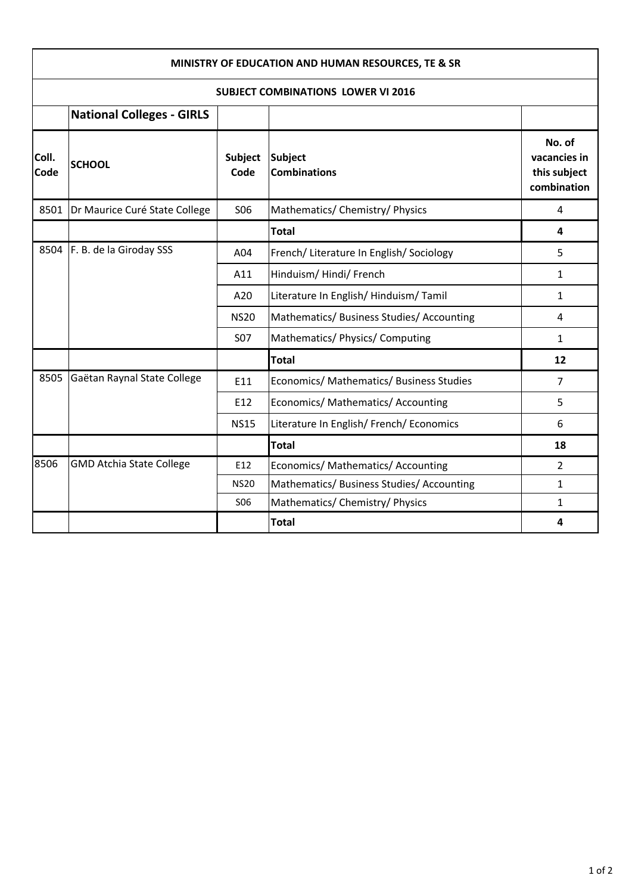| MINISTRY OF EDUCATION AND HUMAN RESOURCES, TE & SR<br><b>SUBJECT COMBINATIONS LOWER VI 2016</b> |                                 |                        |                                           |                                                       |  |  |  |
|-------------------------------------------------------------------------------------------------|---------------------------------|------------------------|-------------------------------------------|-------------------------------------------------------|--|--|--|
|                                                                                                 |                                 |                        |                                           |                                                       |  |  |  |
| Coll.<br>Code                                                                                   | <b>SCHOOL</b>                   | <b>Subject</b><br>Code | <b>Subject</b><br><b>Combinations</b>     | No. of<br>vacancies in<br>this subject<br>combination |  |  |  |
| 8501                                                                                            | Dr Maurice Curé State College   | <b>SO6</b>             | Mathematics/ Chemistry/ Physics           | 4                                                     |  |  |  |
|                                                                                                 |                                 |                        | <b>Total</b>                              | 4                                                     |  |  |  |
| 8504                                                                                            | F. B. de la Giroday SSS         | A04                    | French/ Literature In English/ Sociology  | 5                                                     |  |  |  |
|                                                                                                 |                                 | A11                    | Hinduism/Hindi/French                     | $\mathbf{1}$                                          |  |  |  |
|                                                                                                 |                                 | A20                    | Literature In English/Hinduism/Tamil      | $\mathbf{1}$                                          |  |  |  |
|                                                                                                 |                                 | <b>NS20</b>            | Mathematics/ Business Studies/ Accounting | 4                                                     |  |  |  |
|                                                                                                 |                                 | <b>S07</b>             | Mathematics/ Physics/ Computing           | $\mathbf{1}$                                          |  |  |  |
|                                                                                                 |                                 |                        | <b>Total</b>                              | 12                                                    |  |  |  |
| 8505                                                                                            | Gaëtan Raynal State College     | E11                    | Economics/ Mathematics/ Business Studies  | $\overline{7}$                                        |  |  |  |
|                                                                                                 |                                 | E12                    | Economics/ Mathematics/ Accounting        | 5                                                     |  |  |  |
|                                                                                                 |                                 | <b>NS15</b>            | Literature In English/ French/ Economics  | 6                                                     |  |  |  |
|                                                                                                 |                                 |                        | <b>Total</b>                              | 18                                                    |  |  |  |
| 8506                                                                                            | <b>GMD Atchia State College</b> | E12                    | Economics/ Mathematics/ Accounting        | $\overline{2}$                                        |  |  |  |
|                                                                                                 |                                 | <b>NS20</b>            | Mathematics/ Business Studies/ Accounting | $\mathbf{1}$                                          |  |  |  |
|                                                                                                 |                                 | S <sub>06</sub>        | Mathematics/ Chemistry/ Physics           | $\mathbf{1}$                                          |  |  |  |
|                                                                                                 |                                 |                        | <b>Total</b>                              | 4                                                     |  |  |  |